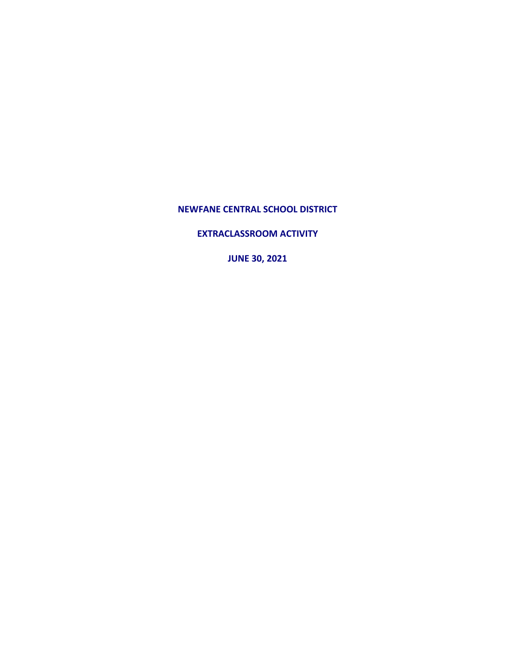# **NEWFANE CENTRAL SCHOOL DISTRICT**

**EXTRACLASSROOM ACTIVITY**

**JUNE 30, 2021**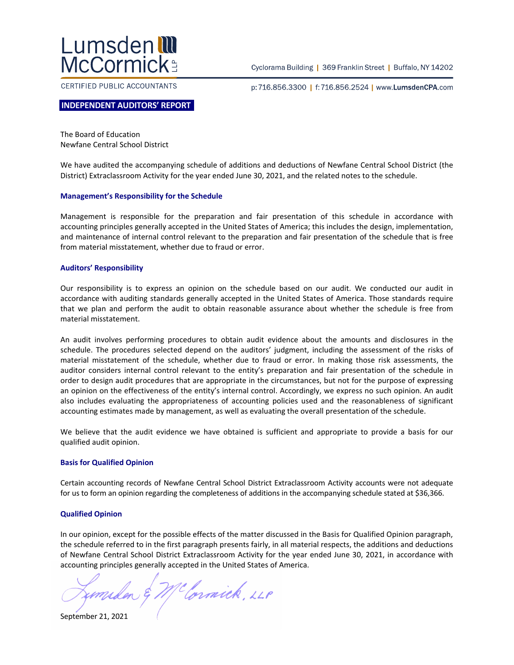

Cyclorama Building | 369 Franklin Street | Buffalo, NY 14202

CERTIFIED PUBLIC ACCOUNTANTS

p:716.856.3300 | f:716.856.2524 | www.LumsdenCPA.com

### **INDEPENDENT AUDITORS' REPORT**

The Board of Education Newfane Central School District

We have audited the accompanying schedule of additions and deductions of Newfane Central School District (the District) Extraclassroom Activity for the year ended June 30, 2021, and the related notes to the schedule.

#### **Management's Responsibility for the Schedule**

Management is responsible for the preparation and fair presentation of this schedule in accordance with accounting principles generally accepted in the United States of America; this includes the design, implementation, and maintenance of internal control relevant to the preparation and fair presentation of the schedule that is free from material misstatement, whether due to fraud or error.

#### **Auditors' Responsibility**

Our responsibility is to express an opinion on the schedule based on our audit. We conducted our audit in accordance with auditing standards generally accepted in the United States of America. Those standards require that we plan and perform the audit to obtain reasonable assurance about whether the schedule is free from material misstatement.

An audit involves performing procedures to obtain audit evidence about the amounts and disclosures in the schedule. The procedures selected depend on the auditors' judgment, including the assessment of the risks of material misstatement of the schedule, whether due to fraud or error. In making those risk assessments, the auditor considers internal control relevant to the entity's preparation and fair presentation of the schedule in order to design audit procedures that are appropriate in the circumstances, but not for the purpose of expressing an opinion on the effectiveness of the entity's internal control. Accordingly, we express no such opinion. An audit also includes evaluating the appropriateness of accounting policies used and the reasonableness of significant accounting estimates made by management, as well as evaluating the overall presentation of the schedule.

We believe that the audit evidence we have obtained is sufficient and appropriate to provide a basis for our qualified audit opinion.

#### **Basis for Qualified Opinion**

Certain accounting records of Newfane Central School District Extraclassroom Activity accounts were not adequate for us to form an opinion regarding the completeness of additions in the accompanying schedule stated at \$36,366.

#### **Qualified Opinion**

In our opinion, except for the possible effects of the matter discussed in the Basis for Qualified Opinion paragraph, the schedule referred to in the first paragraph presents fairly, in all material respects, the additions and deductions of Newfane Central School District Extraclassroom Activity for the year ended June 30, 2021, in accordance with accounting principles generally accepted in the United States of America.

finneden & McCormick, 220

September 21, 2021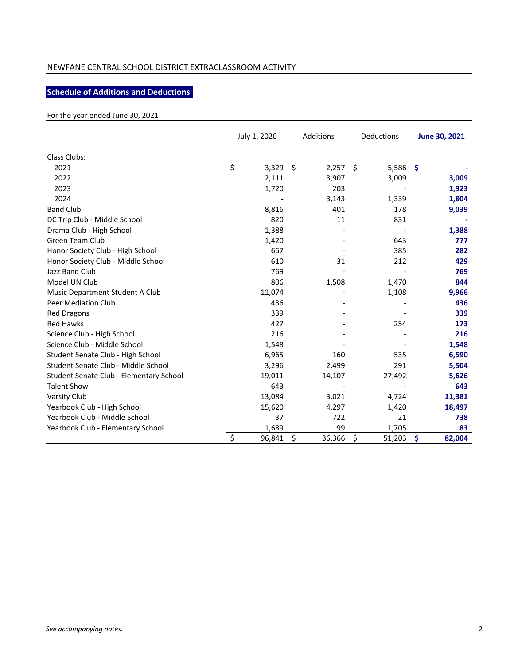## NEWFANE CENTRAL SCHOOL DISTRICT EXTRACLASSROOM ACTIVITY

## **Schedule of Additions and Deductions**

## For the year ended June 30, 2021

|                                         | July 1, 2020 |    | Additions | Deductions   | June 30, 2021 |
|-----------------------------------------|--------------|----|-----------|--------------|---------------|
| Class Clubs:                            |              |    |           |              |               |
| 2021                                    |              |    |           |              |               |
|                                         | \$<br>3.329  | Ŝ. | 2,257     | 5,586<br>Ŝ.  | -Ś            |
| 2022                                    | 2,111        |    | 3,907     | 3,009        | 3,009         |
| 2023                                    | 1,720        |    | 203       |              | 1,923         |
| 2024                                    |              |    | 3,143     | 1,339        | 1,804         |
| <b>Band Club</b>                        | 8,816        |    | 401       | 178          | 9,039         |
| DC Trip Club - Middle School            | 820          |    | 11        | 831          |               |
| Drama Club - High School                | 1,388        |    |           |              | 1,388         |
| <b>Green Team Club</b>                  | 1,420        |    |           | 643          | 777           |
| Honor Society Club - High School        | 667          |    |           | 385          | 282           |
| Honor Society Club - Middle School      | 610          |    | 31        | 212          | 429           |
| Jazz Band Club                          | 769          |    |           |              | 769           |
| Model UN Club                           | 806          |    | 1,508     | 1,470        | 844           |
| Music Department Student A Club         | 11,074       |    |           | 1,108        | 9,966         |
| <b>Peer Mediation Club</b>              | 436          |    |           |              | 436           |
| <b>Red Dragons</b>                      | 339          |    |           |              | 339           |
| <b>Red Hawks</b>                        | 427          |    |           | 254          | 173           |
| Science Club - High School              | 216          |    |           |              | 216           |
| Science Club - Middle School            | 1,548        |    |           |              | 1,548         |
| Student Senate Club - High School       | 6,965        |    | 160       | 535          | 6,590         |
| Student Senate Club - Middle School     | 3,296        |    | 2,499     | 291          | 5,504         |
| Student Senate Club - Elementary School | 19,011       |    | 14,107    | 27,492       | 5,626         |
| <b>Talent Show</b>                      | 643          |    |           |              | 643           |
| Varsity Club                            | 13,084       |    | 3,021     | 4,724        | 11,381        |
| Yearbook Club - High School             | 15,620       |    | 4,297     | 1,420        | 18,497        |
| Yearbook Club - Middle School           | 37           |    | 722       | 21           | 738           |
| Yearbook Club - Elementary School       | 1,689        |    | 99        | 1,705        | 83            |
|                                         | \$<br>96,841 | \$ | 36,366    | \$<br>51,203 | \$<br>82,004  |